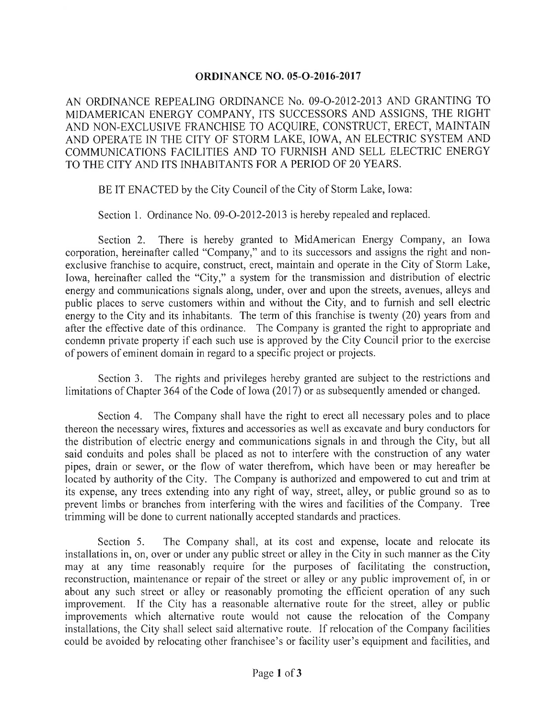## **ORDINANCE NO. 05-O-2016-2017**

AN ORDINANCE REPEALING ORDINANCE No. 09-O-2012-2013 AND GRANTING TO MIDAMERICAN ENERGY COMPANY, ITS SUCCESSORS AND ASSIGNS, THE RIGHT AND NON-EXCLUSIVE FRANCHISE TO ACQUIRE, CONSTRUCT, ERECT, MAINTAIN AND OPERATE IN THE CITY OF STORM LAKE, IOWA, AN ELECTRIC SYSTEM AND COMMUNICATIONS FACILITIES AND TO FURNISH AND SELL ELECTRIC ENERGY TO THE CITY AND ITS INHABITANTS FOR A PERIOD OF 20 YEARS.

BE IT ENACTED by the City Council of the City of Storm Lake, Iowa:

Section 1. Ordinance No. 09-O-2012-2013 is hereby repealed and replaced.

Section 2. There is hereby granted to MidAmerican Energy Company, an Iowa corporation, hereinafter called "Company," and to its successors and assigns the right and nonexclusive franchise to acquire, construct, erect, maintain and operate in the City of Storm Lake, Iowa, hereinafter called the "City," a system for the transmission and distribution of electric energy and communications signals along, under, over and upon the streets, avenues, alleys and public places to serve customers within and without the City, and to furnish and sell electric energy to the City and its inhabitants. The term of this franchise is twenty (20) years from and after the effective date of this ordinance. The Company is granted the right to appropriate and condemn private property if each such use is approved by the City Council prior to the exercise of powers of eminent domain in regard to a specific project or projects.

Section 3. The rights and privileges hereby granted are subject to the restrictions and limitations of Chapter 364 of the Code of Iowa (2017) or as subsequently amended or changed.

Section 4. The Company shall have the right to erect all necessary poles and to place thereon the necessary wires, fixtures and accessories as well as excavate and bury conductors for the distribution of electric energy and communications signals in and through the City, but all said conduits and poles shall be placed as not to interfere with the construction of any water pipes, drain or sewer, or the flow of water therefrom, which have been or may hereafter be located by authority of the City. The Company is authorized and empowered to cut and trim at its expense, any trees extending into any right of way, street, alley, or public ground so as to prevent limbs or branches from interfering with the wires and facilities of the Company. Tree trimming will be done to current nationally accepted standards and practices.

Section 5. The Company shall, at its cost and expense, locate and relocate its installations in, on, over or under any public street or alley in the City in such manner as the City may at any time reasonably require for the purposes of facilitating the construction, reconstruction, maintenance or repair of the street or alley or any public improvement of, in or about any such street or alley or reasonably promoting the efficient operation of any such improvement. If the City has a reasonable alternative route for the street, alley or public improvements which alternative route would not cause the relocation of the Company installations, the City shall select said alternative route. If relocation of the Company facilities could be avoided by relocating other franchisee's or facility user's equipment and facilities, and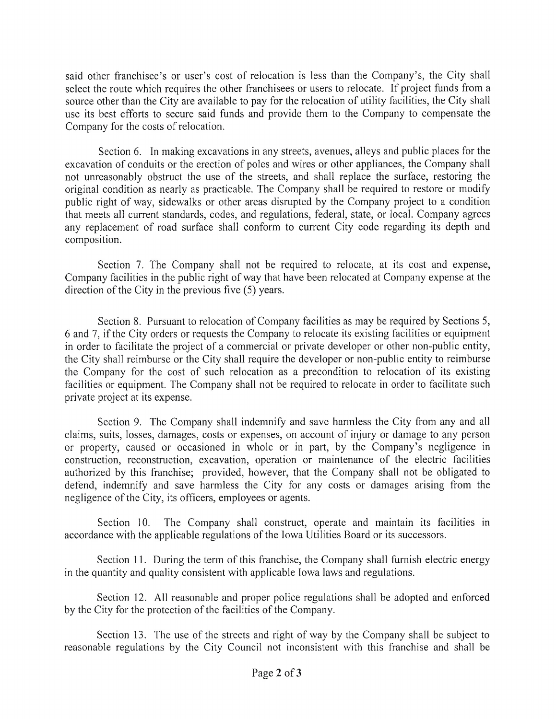said other franchisee's or user's cost of relocation is less than the Company's, the City shall select the route which requires the other franchisees or users to relocate. If project funds from a source other than the City are available to pay for the relocation of utility facilities, the City shall use its best efforts to secure said funds and provide them to the Company to compensate the Company for the costs of relocation.

Section 6. In making excavations in any streets, avenues, alleys and public places for the excavation of conduits or the erection of poles and wires or other appliances, the Company shall not unreasonably obstruct the use of the streets, and shall replace the surface, restoring the original condition as nearly as practicable. The Company shall be required to restore or modify public right of way, sidewalks or other areas disrupted by the Company project to a condition that meets all current standards, codes, and regulations, federal, state, or local. Company agrees any replacement of road surface shall conform to current City code regarding its depth and composition.

Section 7. The Company shall not be required to relocate, at its cost and expense, Company facilities in the public right of way that have been relocated at Company expense at the direction of the City in the previous five  $(5)$  years.

Section 8. Pursuant to relocation of Company facilities as may be required by Sections 5, 6 and 7, ifthe City orders or requests the Company to relocate its existing facilities or equipment in order to facilitate the project of a commercial or private developer or other non- public entity, the City shall reimburse or the City shall require the developer or non-public entity to reimburse the Company for the cost of such relocation as a precondition to relocation of its existing facilities or equipment. The Company shall not be required to relocate in order to facilitate such private project at its expense.

Section 9. The Company shall indemnify and save harmless the City from any and all claims, suits, losses, damages, costs or expenses, on account of injury or damage to any person or property, caused or occasioned in whole or in part, by the Company's negligence in construction, reconstruction, excavation, operation or maintenance of the electric facilities authorized by this franchise; provided, however, that the Company shall not be obligated to defend, indemnify and save harmless the City for any costs or damages arising from the negligence of the City, its officers, employees or agents.

Section 10. The Company shall construct, operate and maintain its facilities in accordance with the applicable regulations of the Iowa Utilities Board or its successors.

Section 11. During the term of this franchise, the Company shall furnish electric energy in the quantity and quality consistent with applicable Iowa laws and regulations.

Section 12. All reasonable and proper police regulations shall be adopted and enforced by the City for the protection of the facilities of the Company.

Section 13. The use of the streets and right of way by the Company shall be subject to reasonable regulations by the City Council not inconsistent with this franchise and shall be